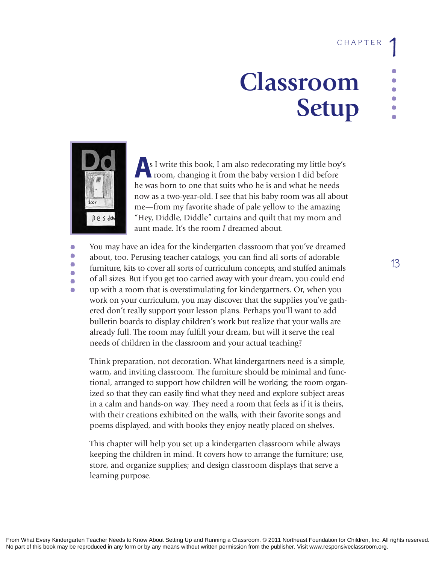# **Classroom Setup**



**A**s I write this book, I am also redecorating my little boy's room, changing it from the baby version I did before he was born to one that suits who he is and what he needs now as a two-year-old. I see that his baby room was all about me—from my favorite shade of pale yellow to the amazing "Hey, Diddle, Diddle" curtains and quilt that my mom and aunt made. It's the room *I* dreamed about.

 $\bullet$ **......**  $\Box$  $\Box$  $\Box$  $\blacksquare$  You may have an idea for the kindergarten classroom that you've dreamed about, too. Perusing teacher catalogs, you can find all sorts of adorable furniture, kits to cover all sorts of curriculum concepts, and stuffed animals of all sizes. But if you get too carried away with your dream, you could end up with a room that is overstimulating for kindergartners. Or, when you work on your curriculum, you may discover that the supplies you've gathered don't really support your lesson plans. Perhaps you'll want to add bulletin boards to display children's work but realize that your walls are already full. The room may fulfill your dream, but will it serve the real needs of children in the classroom and your actual teaching?

Think preparation, not decoration. What kindergartners need is a simple, warm, and inviting classroom. The furniture should be minimal and functional, arranged to support how children will be working; the room organized so that they can easily find what they need and explore subject areas in a calm and hands-on way. They need a room that feels as if it is theirs, with their creations exhibited on the walls, with their favorite songs and poems displayed, and with books they enjoy neatly placed on shelves.

This chapter will help you set up a kindergarten classroom while always keeping the children in mind. It covers how to arrange the furniture; use, store, and organize supplies; and design classroom displays that serve a learning purpose.

**13**

**......**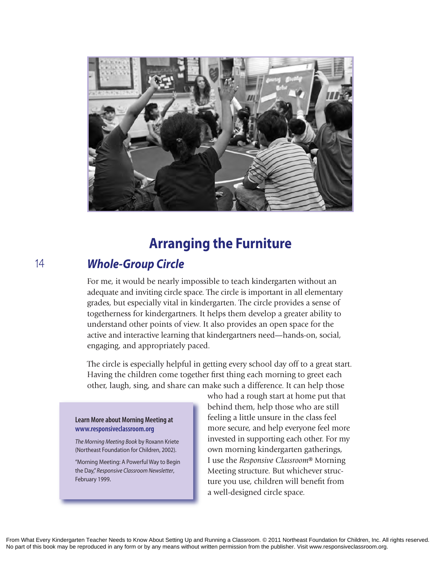

# **Arranging the Furniture**

### *Whole-Group Circle*

For me, it would be nearly impossible to teach kindergarten without an adequate and inviting circle space. The circle is important in all elementary grades, but especially vital in kindergarten. The circle provides a sense of togetherness for kindergartners. It helps them develop a greater ability to understand other points of view. It also provides an open space for the active and interactive learning that kindergartners need—hands-on, social, engaging, and appropriately paced.

The circle is especially helpful in getting every school day off to a great start. Having the children come together first thing each morning to greet each other, laugh, sing, and share can make such a difference. It can help those

#### **Learn More about Morning Meeting at www.responsiveclassroom.org**

**The Morning Meeting Book by Roxann Kriete** (Northeast Foundation for Children, 2002).

"Morning Meeting: A Powerful Way to Begin the Day," *Responsive Classroom Newsletter*, February 1999.

who had a rough start at home put that behind them, help those who are still feeling a little unsure in the class feel more secure, and help everyone feel more invested in supporting each other. For my own morning kindergarten gatherings, I use the *Responsive Classroom*® Morning Meeting structure. But whichever structure you use, children will benefit from a well-designed circle space.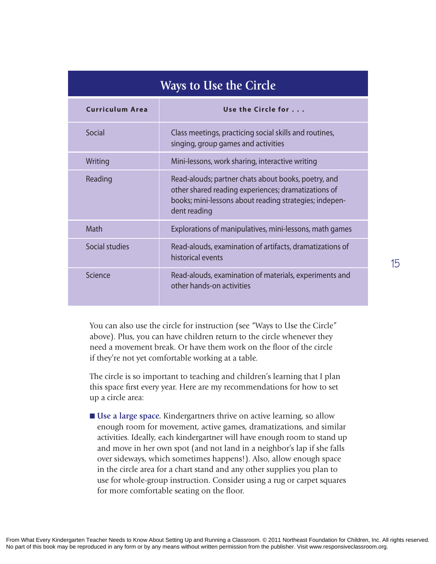| <b>Ways to Use the Circle</b> |                                                                                                                                                                                      |  |  |
|-------------------------------|--------------------------------------------------------------------------------------------------------------------------------------------------------------------------------------|--|--|
| <b>Curriculum Area</b>        | Use the Circle for                                                                                                                                                                   |  |  |
| Social                        | Class meetings, practicing social skills and routines,<br>singing, group games and activities                                                                                        |  |  |
| Writing                       | Mini-lessons, work sharing, interactive writing                                                                                                                                      |  |  |
| Reading                       | Read-alouds; partner chats about books, poetry, and<br>other shared reading experiences; dramatizations of<br>books; mini-lessons about reading strategies; indepen-<br>dent reading |  |  |
| Math                          | Explorations of manipulatives, mini-lessons, math games                                                                                                                              |  |  |
| Social studies                | Read-alouds, examination of artifacts, dramatizations of<br>historical events                                                                                                        |  |  |
| Science                       | Read-alouds, examination of materials, experiments and<br>other hands-on activities                                                                                                  |  |  |

You can also use the circle for instruction (see "Ways to Use the Circle" above). Plus, you can have children return to the circle whenever they need a movement break. Or have them work on the floor of the circle if they're not yet comfortable working at a table.

The circle is so important to teaching and children's learning that I plan this space first every year. Here are my recommendations for how to set up a circle area:

■ **Use a large space.** Kindergartners thrive on active learning, so allow enough room for movement, active games, dramatizations, and similar activities. Ideally, each kindergartner will have enough room to stand up and move in her own spot (and not land in a neighbor's lap if she falls over sideways, which sometimes happens!). Also, allow enough space in the circle area for a chart stand and any other supplies you plan to use for whole-group instruction. Consider using a rug or carpet squares for more comfortable seating on the floor.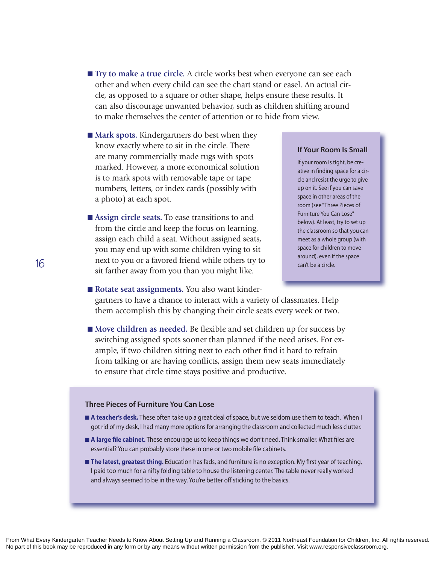- **Try to make a true circle.** A circle works best when everyone can see each other and when every child can see the chart stand or easel. An actual circle, as opposed to a square or other shape, helps ensure these results. It can also discourage unwanted behavior, such as children shifting around to make themselves the center of attention or to hide from view.
- Mark spots. Kindergartners do best when they know exactly where to sit in the circle. There are many commercially made rugs with spots marked. However, a more economical solution is to mark spots with removable tape or tape numbers, letters, or index cards (possibly with a photo) at each spot.
- Assign circle seats. To ease transitions to and from the circle and keep the focus on learning, assign each child a seat. Without assigned seats, you may end up with some children vying to sit next to you or a favored friend while others try to<br>
an't be a circle. sit farther away from you than you might like.

#### **If Your Room Is Small**

if your room is tight, be creative in finding space for a circle and resist the urge to give up on it. See if you can save space in other areas of the room (see "Three Pieces of Furniture You Can Lose" below). At least, try to set up the classroom so that you can meet as a whole group (with space for children to move around), even if the space

■ Rotate seat assignments. You also want kindergartners to have a chance to interact with a variety of classmates. Help them accomplish this by changing their circle seats every week or two.

■ Move children as needed. Be flexible and set children up for success by switching assigned spots sooner than planned if the need arises. For example, if two children sitting next to each other find it hard to refrain from talking or are having conflicts, assign them new seats immediately to ensure that circle time stays positive and productive.

#### **Three Pieces of Furniture You Can Lose**

- **n** A teacher's desk. These often take up a great deal of space, but we seldom use them to teach. When I got rid of my desk, i had many more options for arranging the classroom and collected much less clutter.
- **A large file cabinet.** These encourage us to keep things we don't need. Think smaller. What files are essential? You can probably store these in one or two mobile file cabinets.
- **n The latest, greatest thing.** Education has fads, and furniture is no exception. My first year of teaching, i paid too much for a nifty folding table to house the listening center. the table never really worked and always seemed to be in the way. You're better off sticking to the basics.

No part of this book may be reproduced in any form or by any means without written permission from the publisher. Visit www.responsiveclassroom.org.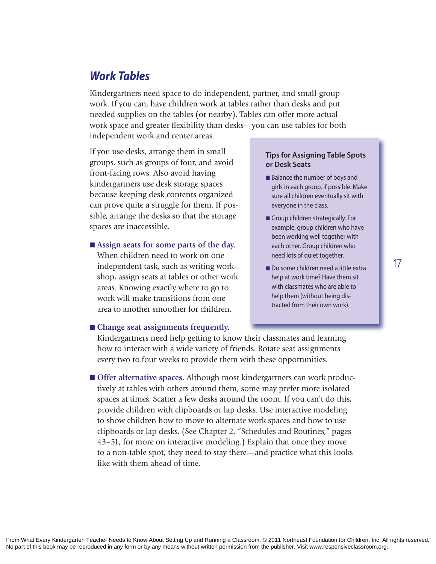### *Work Tables*

Kindergartners need space to do independent, partner, and small-group work. If you can, have children work at tables rather than desks and put needed supplies on the tables (or nearby). Tables can offer more actual work space and greater flexibility than desks—you can use tables for both independent work and center areas.

If you use desks, arrange them in small groups, such as groups of four, and avoid front-facing rows. Also avoid having kindergartners use desk storage spaces because keeping desk contents organized can prove quite a struggle for them. If possible, arrange the desks so that the storage spaces are inaccessible.

 $\blacksquare$  Assign seats for some parts of the day. When children need to work on one independent task, such as writing workshop, assign seats at tables or other work areas. Knowing exactly where to go to work will make transitions from one area to another smoother for children.

#### **Tips for Assigning Table Spots or Desk Seats**

- Balance the number of boys and girls in each group, if possible. Make sure all children eventually sit with everyone in the class.
- Group children strategically. For example, group children who have been working well together with each other. Group children who need lots of quiet together.
- Do some children need a little extra help at work time? Have them sit with classmates who are able to help them (without being distracted from their own work).

**17**

#### n **Change seat assignments frequently.**

Kindergartners need help getting to know their classmates and learning how to interact with a wide variety of friends. Rotate seat assignments every two to four weeks to provide them with these opportunities.

**n** Offer alternative spaces. Although most kindergartners can work productively at tables with others around them, some may prefer more isolated spaces at times. Scatter a few desks around the room. If you can't do this, provide children with clipboards or lap desks. Use interactive modeling to show children how to move to alternate work spaces and how to use clipboards or lap desks. (See Chapter 2, "Schedules and Routines," pages 43–51, for more on interactive modeling.) Explain that once they move to a non-table spot, they need to stay there—and practice what this looks like with them ahead of time.

From What Every Kindergarten Teacher Needs to Know About Setting Up and Running a Classroom. © 2011 Northeast Foundation for Children, Inc. All rights reserved. No part of this book may be reproduced in any form or by any means without written permission from the publisher. Visit www.responsiveclassroom.org.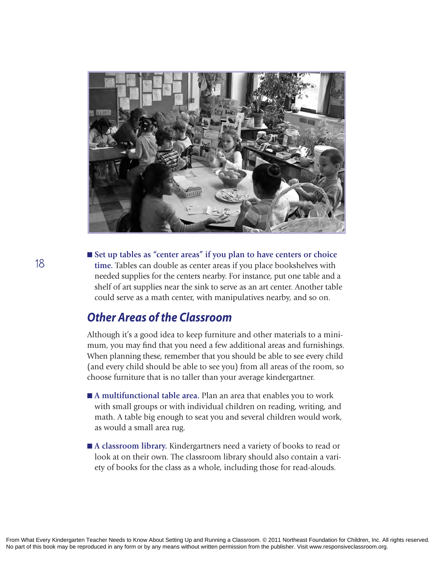

■ Set up tables as "center areas" if you plan to have centers or choice **time.** Tables can double as center areas if you place bookshelves with needed supplies for the centers nearby. For instance, put one table and a shelf of art supplies near the sink to serve as an art center. Another table could serve as a math center, with manipulatives nearby, and so on.

### *Other Areas of the Classroom*

Although it's a good idea to keep furniture and other materials to a minimum, you may find that you need a few additional areas and furnishings. When planning these, remember that you should be able to see every child (and every child should be able to see you) from all areas of the room, so choose furniture that is no taller than your average kindergartner.

- A multifunctional table area. Plan an area that enables you to work with small groups or with individual children on reading, writing, and math. A table big enough to seat you and several children would work, as would a small area rug.
- A classroom library. Kindergartners need a variety of books to read or look at on their own. The classroom library should also contain a variety of books for the class as a whole, including those for read-alouds.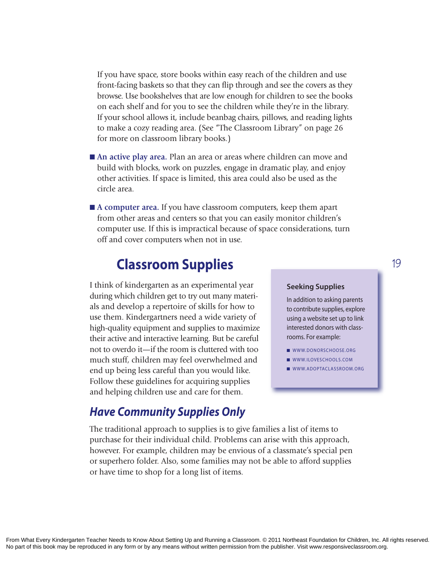If you have space, store books within easy reach of the children and use front-facing baskets so that they can flip through and see the covers as they browse. Use bookshelves that are low enough for children to see the books on each shelf and for you to see the children while they're in the library. If your school allows it, include beanbag chairs, pillows, and reading lights to make a cozy reading area. (See "The Classroom Library" on page 26 for more on classroom library books.)

- An active play area. Plan an area or areas where children can move and build with blocks, work on puzzles, engage in dramatic play, and enjoy other activities. If space is limited, this area could also be used as the circle area.
- A computer area. If you have classroom computers, keep them apart from other areas and centers so that you can easily monitor children's computer use. If this is impractical because of space considerations, turn off and cover computers when not in use.

# **Classroom Supplies**

I think of kindergarten as an experimental year during which children get to try out many materials and develop a repertoire of skills for how to use them. Kindergartners need a wide variety of high-quality equipment and supplies to maximize their active and interactive learning. But be careful not to overdo it—if the room is cluttered with too much stuff, children may feel overwhelmed and end up being less careful than you would like. Follow these guidelines for acquiring supplies and helping children use and care for them.

### *Have Community Supplies Only*

The traditional approach to supplies is to give families a list of items to purchase for their individual child. Problems can arise with this approach, however. For example, children may be envious of a classmate's special pen or superhero folder. Also, some families may not be able to afford supplies or have time to shop for a long list of items.

#### **Seeking Supplies**

in addition to asking parents to contribute supplies, explore using a website set up to link interested donors with classrooms. For example:

**19**

- WWW.DONORSCHOOSE.ORG
- WWW.ILOVESCHOOLS.COM
- $\blacksquare$  WWW.ADOPTACLASSROOM.ORG

From What Every Kindergarten Teacher Needs to Know About Setting Up and Running a Classroom. © 2011 Northeast Foundation for Children, Inc. All rights reserved. No part of this book may be reproduced in any form or by any means without written permission from the publisher. Visit www.responsiveclassroom.org.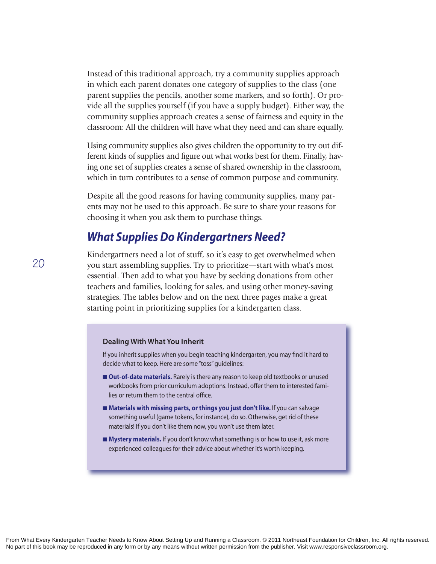Instead of this traditional approach, try a community supplies approach in which each parent donates one category of supplies to the class (one parent supplies the pencils, another some markers, and so forth). Or provide all the supplies yourself (if you have a supply budget). Either way, the community supplies approach creates a sense of fairness and equity in the classroom: All the children will have what they need and can share equally.

Using community supplies also gives children the opportunity to try out different kinds of supplies and figure out what works best for them. Finally, having one set of supplies creates a sense of shared ownership in the classroom, which in turn contributes to a sense of common purpose and community.

Despite all the good reasons for having community supplies, many parents may not be used to this approach. Be sure to share your reasons for choosing it when you ask them to purchase things.

### *What Supplies Do Kindergartners Need?*

Kindergartners need a lot of stuff, so it's easy to get overwhelmed when you start assembling supplies. Try to prioritize—start with what's most essential. Then add to what you have by seeking donations from other teachers and families, looking for sales, and using other money-saving strategies. The tables below and on the next three pages make a great starting point in prioritizing supplies for a kindergarten class.

#### **Dealing With What You Inherit**

if you inherit supplies when you begin teaching kindergarten, you may find it hard to decide what to keep. here are some "toss" guidelines:

- **n Out-of-date materials.** Rarely is there any reason to keep old textbooks or unused workbooks from prior curriculum adoptions. instead, offer them to interested families or return them to the central office.
- Materials with missing parts, or things you just don't like. If you can salvage something useful (game tokens, for instance), do so. Otherwise, get rid of these materials! if you don't like them now, you won't use them later.
- Mystery materials. If you don't know what something is or how to use it, ask more experienced colleagues for their advice about whether it's worth keeping.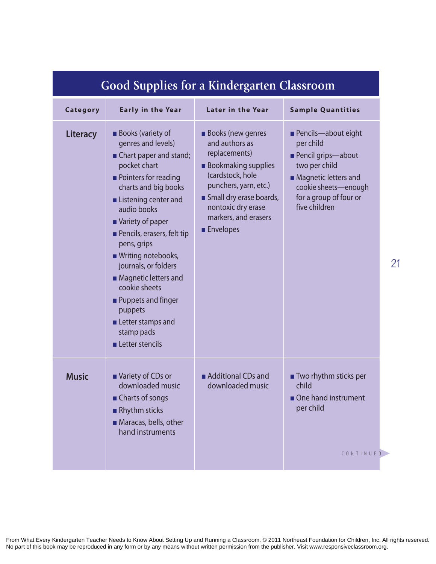| Good oupplies for a Kindergarien Classroom |                                                                                                                                                                                                                                                                                                                                                                                                                                                           |                                                                                                                                                                                                                                     |                                                                                                                                                                                  |  |
|--------------------------------------------|-----------------------------------------------------------------------------------------------------------------------------------------------------------------------------------------------------------------------------------------------------------------------------------------------------------------------------------------------------------------------------------------------------------------------------------------------------------|-------------------------------------------------------------------------------------------------------------------------------------------------------------------------------------------------------------------------------------|----------------------------------------------------------------------------------------------------------------------------------------------------------------------------------|--|
| Category                                   | <b>Early in the Year</b>                                                                                                                                                                                                                                                                                                                                                                                                                                  | <b>Later in the Year</b>                                                                                                                                                                                                            | <b>Sample Quantities</b>                                                                                                                                                         |  |
| Literacy                                   | <b>Books (variety of</b><br>genres and levels)<br>Chart paper and stand;<br>pocket chart<br><b>Pointers for reading</b><br>charts and big books<br>Listening center and<br>audio books<br>■ Variety of paper<br>Pencils, erasers, felt tip<br>pens, grips<br>■ Writing notebooks,<br>journals, or folders<br>• Magnetic letters and<br>cookie sheets<br><b>Puppets and finger</b><br>puppets<br>Letter stamps and<br>stamp pads<br><b>Letter stencils</b> | <b>Books</b> (new genres<br>and authors as<br>replacements)<br><b>Bookmaking supplies</b><br>(cardstock, hole<br>punchers, yarn, etc.)<br>Small dry erase boards,<br>nontoxic dry erase<br>markers, and erasers<br><b>Envelopes</b> | <b>Pencils-about eight</b><br>per child<br>Pencil grips-about<br>two per child<br><b>Magnetic letters and</b><br>cookie sheets-enough<br>for a group of four or<br>five children |  |
| <b>Music</b>                               | ■ Variety of CDs or<br>downloaded music<br>■ Charts of songs<br>Rhythm sticks<br>Maracas, bells, other<br>hand instruments                                                                                                                                                                                                                                                                                                                                | Additional CDs and<br>downloaded music                                                                                                                                                                                              | <b>Two rhythm sticks per</b><br>child<br>One hand instrument<br>per child<br>CONTINUED                                                                                           |  |

**21**

# **Good Supplies for a Kindergarten Classroom**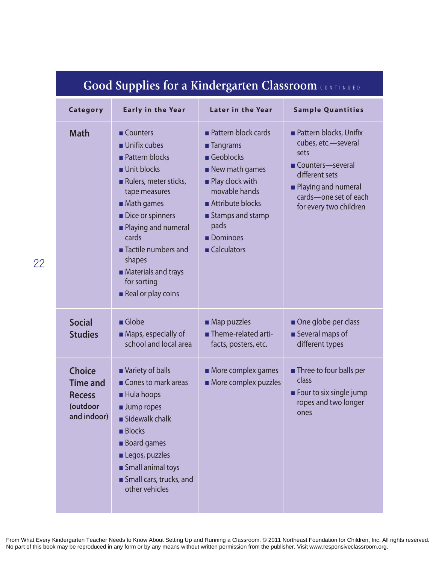| Good Supplies for a Kindergarten Classroom CONTINUED                         |                                                                                                                                                                                                                                                                                                                         |                                                                                                                                                                                                                  |                                                                                                                                                                                |  |
|------------------------------------------------------------------------------|-------------------------------------------------------------------------------------------------------------------------------------------------------------------------------------------------------------------------------------------------------------------------------------------------------------------------|------------------------------------------------------------------------------------------------------------------------------------------------------------------------------------------------------------------|--------------------------------------------------------------------------------------------------------------------------------------------------------------------------------|--|
| Category                                                                     | <b>Early in the Year</b>                                                                                                                                                                                                                                                                                                | <b>Later in the Year</b>                                                                                                                                                                                         | <b>Sample Quantities</b>                                                                                                                                                       |  |
| <b>Math</b>                                                                  | <b>Counters</b><br>$\blacksquare$ Unifix cubes<br><b>Pattern blocks</b><br>Unit blocks<br>Rulers, meter sticks,<br>tape measures<br>$\blacksquare$ Math games<br>Dice or spinners<br>Playing and numeral<br>cards<br>■ Tactile numbers and<br>shapes<br><b>Materials and trays</b><br>for sorting<br>Real or play coins | <b>Pattern block cards</b><br>■ Tangrams<br>Geoblocks<br>$\blacksquare$ New math games<br><b>Play clock with</b><br>movable hands<br>Attribute blocks<br>■ Stamps and stamp<br>pads<br>Dominoes<br>■ Calculators | <b>Pattern blocks, Unifix</b><br>cubes, etc.-several<br>sets<br>Counters-several<br>different sets<br>• Playing and numeral<br>cards-one set of each<br>for every two children |  |
| <b>Social</b><br><b>Studies</b>                                              | $\blacksquare$ Globe<br>Maps, especially of<br>school and local area                                                                                                                                                                                                                                                    | $\blacksquare$ Map puzzles<br>Theme-related arti-<br>facts, posters, etc.                                                                                                                                        | One globe per class<br>Several maps of<br>different types                                                                                                                      |  |
| <b>Choice</b><br><b>Time and</b><br><b>Recess</b><br>(outdoor<br>and indoor) | Variety of balls<br>Cones to mark areas<br>Hula hoops<br>Jump ropes<br>Sidewalk chalk<br><b>Blocks</b><br><b>Board games</b><br>Legos, puzzles<br>Small animal toys<br>Small cars, trucks, and<br>other vehicles                                                                                                        | More complex games<br>More complex puzzles                                                                                                                                                                       | <b>Three to four balls per</b><br>class<br><b>Example 5 Four to six single jump</b><br>ropes and two longer<br>ones                                                            |  |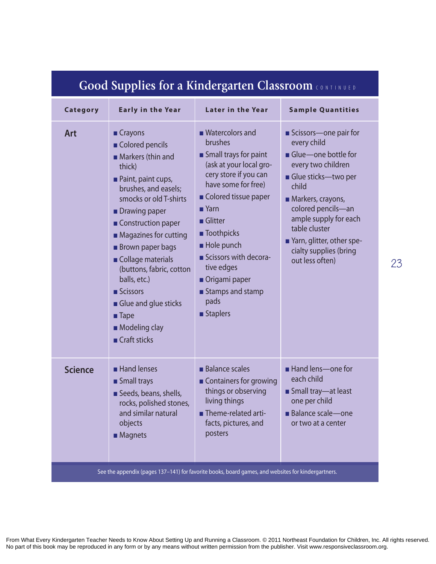| Category                                                                                           | <b>Early in the Year</b>                                                                                                                                                                                                                                                                                                                                                                                                         | Later in the Year                                                                                                                                                                                                                                                                                                                           | <b>Sample Quantities</b>                                                                                                                                                                                                                                                         |  |
|----------------------------------------------------------------------------------------------------|----------------------------------------------------------------------------------------------------------------------------------------------------------------------------------------------------------------------------------------------------------------------------------------------------------------------------------------------------------------------------------------------------------------------------------|---------------------------------------------------------------------------------------------------------------------------------------------------------------------------------------------------------------------------------------------------------------------------------------------------------------------------------------------|----------------------------------------------------------------------------------------------------------------------------------------------------------------------------------------------------------------------------------------------------------------------------------|--|
| <b>Art</b>                                                                                         | ■ Crayons<br>Colored pencils<br>Markers (thin and<br>thick)<br>Paint, paint cups,<br>brushes, and easels;<br>smocks or old T-shirts<br><b>Drawing paper</b><br>Construction paper<br>$\blacksquare$ Magazines for cutting<br><b>Brown paper bags</b><br>Collage materials<br>(buttons, fabric, cotton<br>balls, etc.)<br>Scissors<br>Glue and glue sticks<br>$\blacksquare$ Tape<br>Modeling clay<br>$\blacksquare$ Craft sticks | ■ Watercolors and<br>brushes<br>Small trays for paint<br>(ask at your local gro-<br>cery store if you can<br>have some for free)<br>Colored tissue paper<br>$\blacksquare$ Yarn<br>$\blacksquare$ Glitter<br>■ Toothpicks<br>Hole punch<br>Scissors with decora-<br>tive edges<br>Origami paper<br>■ Stamps and stamp<br>pads<br>■ Staplers | Scissors-one pair for<br>every child<br>Glue-one bottle for<br>every two children<br>Glue sticks-two per<br>child<br>Markers, crayons,<br>colored pencils-an<br>ample supply for each<br>table cluster<br>Yarn, glitter, other spe-<br>cialty supplies (bring<br>out less often) |  |
| <b>Science</b>                                                                                     | Hand lenses<br><b>Small trays</b><br>Seeds, beans, shells,<br>rocks, polished stones,<br>and similar natural<br>objects<br><b>Magnets</b>                                                                                                                                                                                                                                                                                        | <b>Balance scales</b><br>■ Containers for growing<br>things or observing<br>living things<br>- Theme-related arti-<br>facts, pictures, and<br>posters                                                                                                                                                                                       | Hand lens-one for<br>each child<br>Small tray-at least<br>one per child<br><b>Balance scale-one</b><br>or two at a center                                                                                                                                                        |  |
| See the appendix (pages 137-141) for favorite books, board games, and websites for kindergartners. |                                                                                                                                                                                                                                                                                                                                                                                                                                  |                                                                                                                                                                                                                                                                                                                                             |                                                                                                                                                                                                                                                                                  |  |

**23**

# **Good Supplies for a Kindergarten Classroom CONTINUED**

From What Every Kindergarten Teacher Needs to Know About Setting Up and Running a Classroom. © 2011 Northeast Foundation for Children, Inc. All rights reserved. No part of this book may be reproduced in any form or by any means without written permission from the publisher. Visit www.responsiveclassroom.org.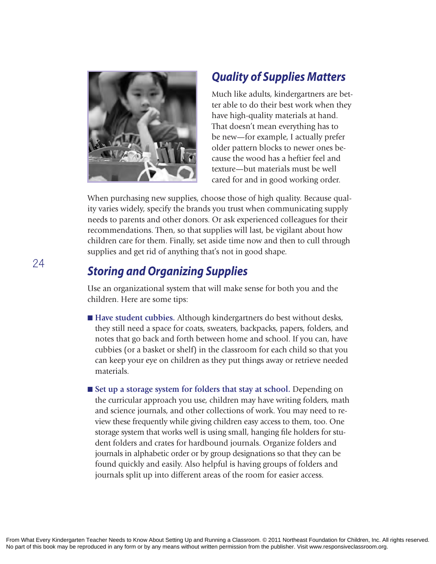

### *Quality of Supplies Matters*

Much like adults, kindergartners are better able to do their best work when they have high-quality materials at hand. That doesn't mean everything has to be new—for example, I actually prefer older pattern blocks to newer ones because the wood has a heftier feel and texture—but materials must be well cared for and in good working order.

When purchasing new supplies, choose those of high quality. Because quality varies widely, specify the brands you trust when communicating supply needs to parents and other donors. Or ask experienced colleagues for their recommendations. Then, so that supplies will last, be vigilant about how children care for them. Finally, set aside time now and then to cull through supplies and get rid of anything that's not in good shape.

### *Storing and Organizing Supplies*

Use an organizational system that will make sense for both you and the children. Here are some tips:

- Have student cubbies. Although kindergartners do best without desks, they still need a space for coats, sweaters, backpacks, papers, folders, and notes that go back and forth between home and school. If you can, have cubbies (or a basket or shelf) in the classroom for each child so that you can keep your eye on children as they put things away or retrieve needed materials.
- Set up a storage system for folders that stay at school. Depending on the curricular approach you use, children may have writing folders, math and science journals, and other collections of work. You may need to review these frequently while giving children easy access to them, too. One storage system that works well is using small, hanging file holders for student folders and crates for hardbound journals. Organize folders and journals in alphabetic order or by group designations so that they can be found quickly and easily. Also helpful is having groups of folders and journals split up into different areas of the room for easier access.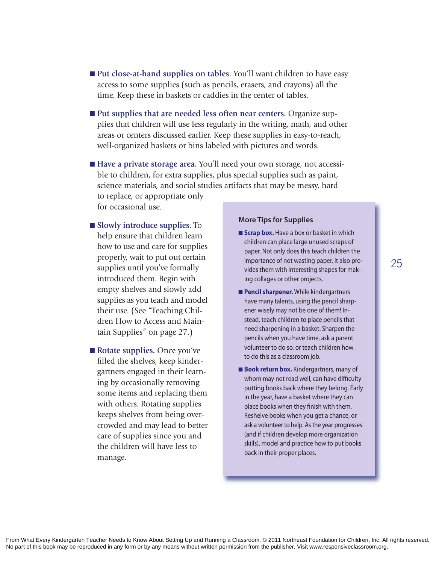- Put close-at-hand supplies on tables. You'll want children to have easy access to some supplies (such as pencils, erasers, and crayons) all the time. Keep these in baskets or caddies in the center of tables.
- Put supplies that are needed less often near centers. Organize supplies that children will use less regularly in the writing, math, and other areas or centers discussed earlier. Keep these supplies in easy-to-reach, well-organized baskets or bins labeled with pictures and words.
- **Have a private storage area.** You'll need your own storage, not accessible to children, for extra supplies, plus special supplies such as paint, science materials, and social studies artifacts that may be messy, hard to replace, or appropriate only

for occasional use.

- **n** Slowly introduce supplies. To help ensure that children learn how to use and care for supplies properly, wait to put out certain supplies until you've formally introduced them. Begin with empty shelves and slowly add supplies as you teach and model their use. (See "Teaching Children How to Access and Maintain Supplies" on page 27.)
- **Rotate supplies.** Once you've filled the shelves, keep kindergartners engaged in their learning by occasionally removing some items and replacing them with others. Rotating supplies keeps shelves from being overcrowded and may lead to better care of supplies since you and the children will have less to manage.

#### **More Tips for Supplies**

- **Example 5 Scrap box.** Have a box or basket in which children can place large unused scraps of paper. Not only does this teach children the importance of not wasting paper, it also provides them with interesting shapes for making collages or other projects.
- **n Pencil sharpener.** While kindergartners have many talents, using the pencil sharpener wisely may not be one of them! instead, teach children to place pencils that need sharpening in a basket. Sharpen the pencils when you have time, ask a parent volunteer to do so, or teach children how to do this as a classroom job.
- **Book return box.** Kindergartners, many of whom may not read well, can have difficulty putting books back where they belong. Early in the year, have a basket where they can place books when they finish with them. Reshelve books when you get a chance, or ask a volunteer to help. As the year progresses (and if children develop more organization skills), model and practice how to put books back in their proper places.

**25**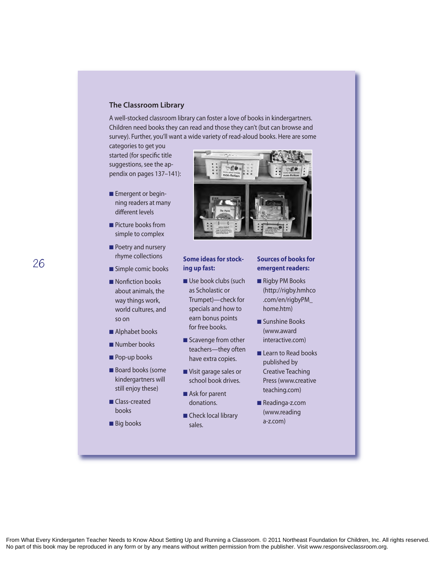#### **The Classroom Library**

a well-stocked classroom library can foster a love of books in kindergartners. Children need books they can read and those they can't (but can browse and survey). Further, you'll want a wide variety of read-aloud books. here are some

categories to get you started (for specific title suggestions, see the appendix on pages 137–141):

- **Emergent or begin**ning readers at many different levels
- **n** Picture books from simple to complex
- **Poetry and nursery** rhyme collections
- Simple comic books
- Nonfiction books about animals, the way things work, world cultures, and so on
- $\blacksquare$  Alphabet books
- **Number books**
- **n** Pop-up books
- Board books (some kindergartners will still enjoy these)
- **n** Class-created books
- **Big books**



#### **Some ideas for stocking up fast:**

- $\blacksquare$  Use book clubs (such as Scholastic or Trumpet)-check for specials and how to earn bonus points for free books.
- $\blacksquare$  Scavenge from other teachers—they often have extra copies.
- Visit garage sales or school book drives.
- $\blacksquare$  Ask for parent donations.
- Check local library sales.

#### **Sources of books for emergent readers:**

- Rigby PM Books (http://rigby.hmhco .com/en/rigbyPM\_ home.htm)
- Sunshine Books (www.award interactive.com)
- Learn to Read books published by **Creative Teaching** Press (www.creative teaching.com)
- Readinga-z.com (www.reading a-z.com)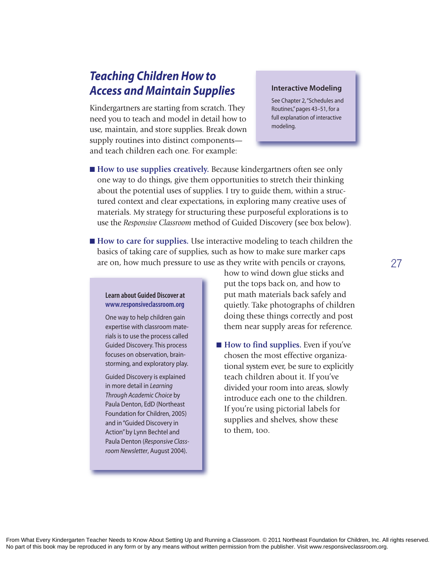### *Teaching Children How to Access and Maintain Supplies*

Kindergartners are starting from scratch. They need you to teach and model in detail how to use, maintain, and store supplies. Break down supply routines into distinct components and teach children each one. For example:

#### **Interactive Modeling**

See Chapter 2, "Schedules and Routines," pages 43-51, for a full explanation of interactive modeling.

- **How to use supplies creatively.** Because kindergartners often see only one way to do things, give them opportunities to stretch their thinking about the potential uses of supplies. I try to guide them, within a structured context and clear expectations, in exploring many creative uses of materials. My strategy for structuring these purposeful explorations is to use the *Responsive Classroom* method of Guided Discovery (see box below).
- **How to care for supplies.** Use interactive modeling to teach children the basics of taking care of supplies, such as how to make sure marker caps are on, how much pressure to use as they write with pencils or crayons,

#### **Learn about Guided Discover at www.responsiveclassroom.org**

One way to help children gain expertise with classroom materials is to use the process called Guided Discovery. This process focuses on observation, brainstorming, and exploratory play.

Guided Discovery is explained in more detail in *Learning Through Academic Choice* by Paula Denton, EdD (Northeast Foundation for Children, 2005) and in "Guided Discovery in action" by Lynn Bechtel and Paula Denton (*Responsive Class*room Newsletter, August 2004).

how to wind down glue sticks and put the tops back on, and how to put math materials back safely and quietly. Take photographs of children doing these things correctly and post them near supply areas for reference.

■ **How to find supplies.** Even if you've chosen the most effective organizational system ever, be sure to explicitly teach children about it. If you've divided your room into areas, slowly introduce each one to the children. If you're using pictorial labels for supplies and shelves, show these to them, too.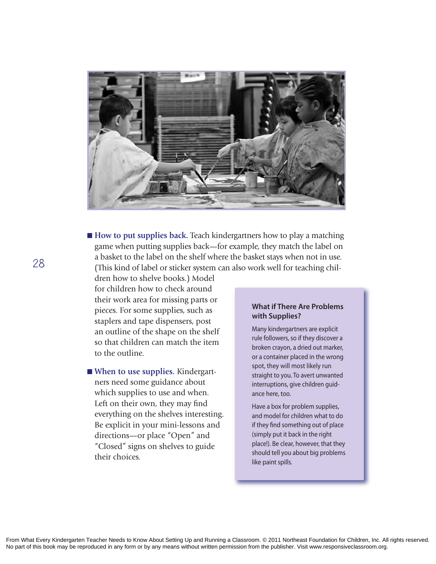

■ **How to put supplies back**. Teach kindergartners how to play a matching game when putting supplies back—for example, they match the label on a basket to the label on the shelf where the basket stays when not in use. (This kind of label or sticker system can also work well for teaching chil-

dren how to shelve books.) Model for children how to check around their work area for missing parts or pieces. For some supplies, such as staplers and tape dispensers, post an outline of the shape on the shelf so that children can match the item to the outline.

■ When to use supplies. Kindergartners need some guidance about which supplies to use and when. Left on their own, they may find everything on the shelves interesting. Be explicit in your mini-lessons and directions—or place "Open" and "Closed" signs on shelves to guide their choices.

#### **What if There Are Problems with Supplies?**

Many kindergartners are explicit rule followers, so if they discover a broken crayon, a dried out marker, or a container placed in the wrong spot, they will most likely run straight to you. To avert unwanted interruptions, give children guidance here, too.

have a box for problem supplies, and model for children what to do if they find something out of place (simply put it back in the right place!). Be clear, however, that they should tell you about big problems like paint spills.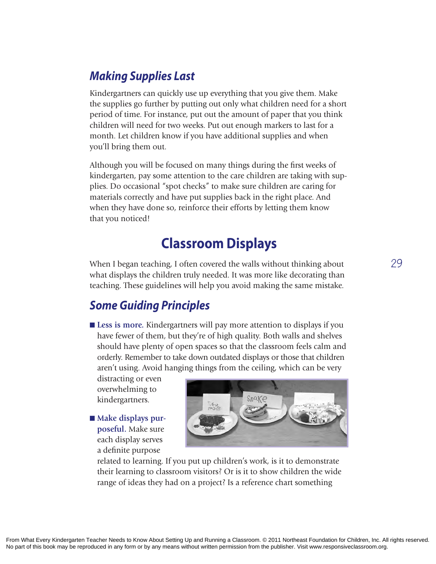### *Making Supplies Last*

Kindergartners can quickly use up everything that you give them. Make the supplies go further by putting out only what children need for a short period of time. For instance, put out the amount of paper that you think children will need for two weeks. Put out enough markers to last for a month. Let children know if you have additional supplies and when you'll bring them out.

Although you will be focused on many things during the first weeks of kindergarten, pay some attention to the care children are taking with supplies. Do occasional "spot checks" to make sure children are caring for materials correctly and have put supplies back in the right place. And when they have done so, reinforce their efforts by letting them know that you noticed!

# **Classroom Displays**

When I began teaching, I often covered the walls without thinking about what displays the children truly needed. It was more like decorating than teaching. These guidelines will help you avoid making the same mistake.

### *Some Guiding Principles*

■ Less is more. Kindergartners will pay more attention to displays if you have fewer of them, but they're of high quality. Both walls and shelves should have plenty of open spaces so that the classroom feels calm and orderly. Remember to take down outdated displays or those that children aren't using. Avoid hanging things from the ceiling, which can be very

distracting or even overwhelming to kindergartners.

 $\blacksquare$  Make displays pur**poseful.** Make sure each display serves a definite purpose



related to learning. If you put up children's work, is it to demonstrate their learning to classroom visitors? Or is it to show children the wide range of ideas they had on a project? Is a reference chart something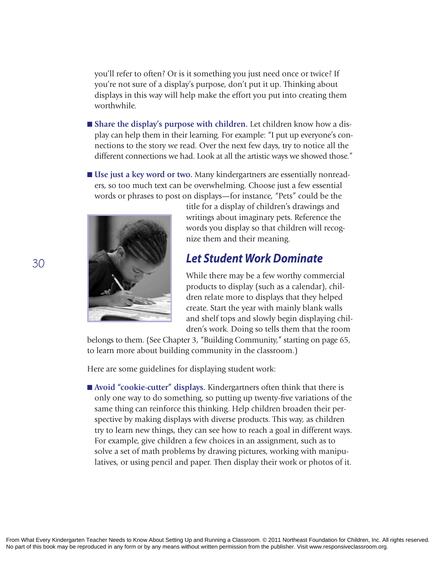you'll refer to often? Or is it something you just need once or twice? If you're not sure of a display's purpose, don't put it up. Thinking about displays in this way will help make the effort you put into creating them worthwhile.

- **n** Share the display's purpose with children. Let children know how a display can help them in their learning. For example: "I put up everyone's connections to the story we read. Over the next few days, try to notice all the different connections we had. Look at all the artistic ways we showed those."
- **Use just a key word or two.** Many kindergartners are essentially nonreaders, so too much text can be overwhelming. Choose just a few essential words or phrases to post on displays—for instance, "Pets" could be the



title for a display of children's drawings and writings about imaginary pets. Reference the words you display so that children will recognize them and their meaning.

### *Let Student Work Dominate*

While there may be a few worthy commercial products to display (such as a calendar), children relate more to displays that they helped create. Start the year with mainly blank walls and shelf tops and slowly begin displaying children's work. Doing so tells them that the room

belongs to them. (See Chapter 3, "Building Community," starting on page 65, to learn more about building community in the classroom.)

Here are some guidelines for displaying student work:

■ Avoid "cookie-cutter" displays. Kindergartners often think that there is only one way to do something, so putting up twenty-five variations of the same thing can reinforce this thinking. Help children broaden their perspective by making displays with diverse products. This way, as children try to learn new things, they can see how to reach a goal in different ways. For example, give children a few choices in an assignment, such as to solve a set of math problems by drawing pictures, working with manipulatives, or using pencil and paper. Then display their work or photos of it.

**30**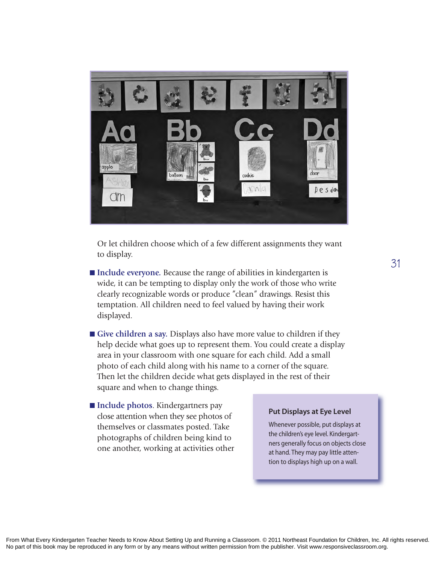

Or let children choose which of a few different assignments they want to display.

- Include everyone. Because the range of abilities in kindergarten is wide, it can be tempting to display only the work of those who write clearly recognizable words or produce "clean" drawings. Resist this temptation. All children need to feel valued by having their work displayed.
- Give children a say. Displays also have more value to children if they help decide what goes up to represent them. You could create a display area in your classroom with one square for each child. Add a small photo of each child along with his name to a corner of the square. Then let the children decide what gets displayed in the rest of their square and when to change things.
- **Include photos**. Kindergartners pay close attention when they see photos of themselves or classmates posted. Take photographs of children being kind to one another, working at activities other

#### **Put Displays at Eye Level**

Whenever possible, put displays at the children's eye level. Kindergartners generally focus on objects close at hand. They may pay little attention to displays high up on a wall.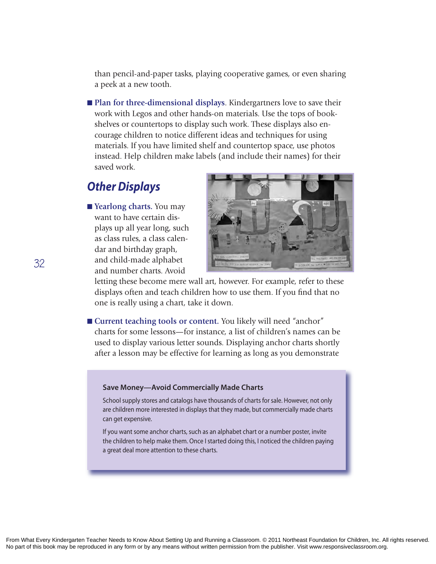than pencil-and-paper tasks, playing cooperative games, or even sharing a peek at a new tooth.

**n Plan for three-dimensional displays**. Kindergartners love to save their work with Legos and other hands-on materials. Use the tops of bookshelves or countertops to display such work. These displays also encourage children to notice different ideas and techniques for using materials. If you have limited shelf and countertop space, use photos instead. Help children make labels (and include their names) for their saved work.

### *Other Displays*

■ **Yearlong charts.** You may want to have certain displays up all year long, such as class rules, a class calendar and birthday graph, and child-made alphabet and number charts. Avoid



letting these become mere wall art, however. For example, refer to these displays often and teach children how to use them. If you find that no one is really using a chart, take it down.

■ **Current teaching tools or content.** You likely will need "anchor" charts for some lessons—for instance, a list of children's names can be used to display various letter sounds. Displaying anchor charts shortly after a lesson may be effective for learning as long as you demonstrate

#### **Save Money—Avoid Commercially Made Charts**

School supply stores and catalogs have thousands of charts for sale. however, not only are children more interested in displays that they made, but commercially made charts can get expensive.

if you want some anchor charts, such as an alphabet chart or a number poster, invite the children to help make them. Once i started doing this, i noticed the children paying a great deal more attention to these charts.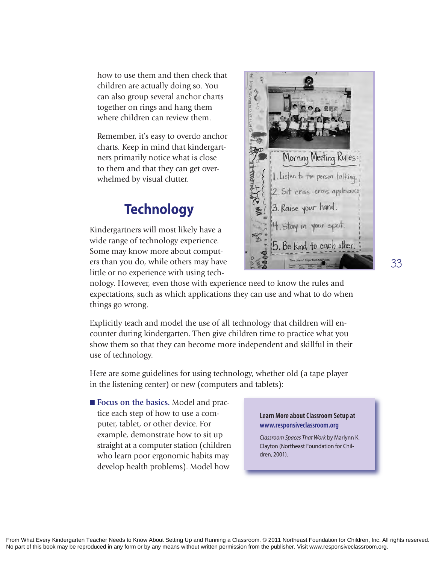how to use them and then check that children are actually doing so. You can also group several anchor charts together on rings and hang them where children can review them.

Remember, it's easy to overdo anchor charts. Keep in mind that kindergartners primarily notice what is close to them and that they can get overwhelmed by visual clutter.

# **Technology**

Kindergartners will most likely have a wide range of technology experience. Some may know more about computers than you do, while others may have little or no experience with using tech-



nology. However, even those with experience need to know the rules and expectations, such as which applications they can use and what to do when things go wrong.

Explicitly teach and model the use of all technology that children will encounter during kindergarten. Then give children time to practice what you show them so that they can become more independent and skillful in their use of technology.

Here are some guidelines for using technology, whether old (a tape player in the listening center) or new (computers and tablets):

■ **Focus on the basics.** Model and practice each step of how to use a computer, tablet, or other device. For example, demonstrate how to sit up straight at a computer station (children who learn poor ergonomic habits may develop health problems). Model how

#### **Learn More about Classroom Setup at www.responsiveclassroom.org**

*Classroom Spaces That Work* by Marlynn K. Clayton (Northeast Foundation for Children, 2001).

**33**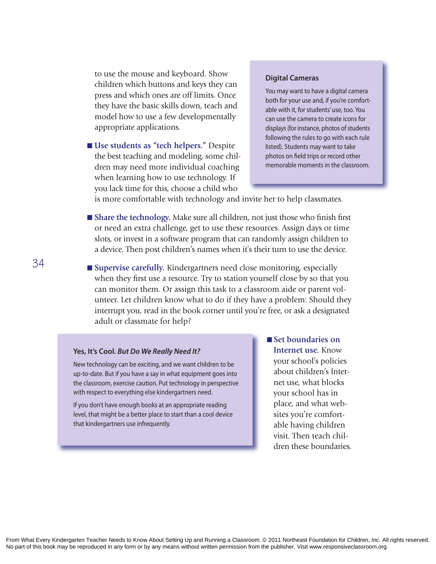to use the mouse and keyboard. Show children which buttons and keys they can press and which ones are off limits. Once they have the basic skills down, teach and model how to use a few developmentally appropriate applications.

■ Use students as "tech helpers." Despite the best teaching and modeling, some children may need more individual coaching when learning how to use technology. If you lack time for this, choose a child who

#### **Digital Cameras**

You may want to have a digital camera both for your use and, if you're comfortable with it, for students' use, too. You can use the camera to create icons for displays (for instance, photos of students following the rules to go with each rule listed). Students may want to take photos on field trips or record other memorable moments in the classroom.

is more comfortable with technology and invite her to help classmates.

- n **Share the technology.** Make sure all children, not just those who finish first or need an extra challenge, get to use these resources. Assign days or time slots, or invest in a software program that can randomly assign children to a device. Then post children's names when it's their turn to use the device.
- Supervise carefully. Kindergartners need close monitoring, especially when they first use a resource. Try to station yourself close by so that you can monitor them. Or assign this task to a classroom aide or parent volunteer. Let children know what to do if they have a problem: Should they interrupt you, read in the book corner until you're free, or ask a designated adult or classmate for help?

#### **Yes, It's Cool.** *But Do We Really Need It?*

New technology can be exciting, and we want children to be up-to-date. But if you have a say in what equipment goes into the classroom, exercise caution. Put technology in perspective with respect to everything else kindergartners need.

if you don't have enough books at an appropriate reading level, that might be a better place to start than a cool device that kindergartners use infrequently.

■ Set boundaries on **Internet use.** Know your school's policies about children's Internet use, what blocks your school has in place, and what websites you're comfortable having children visit. Then teach children these boundaries.